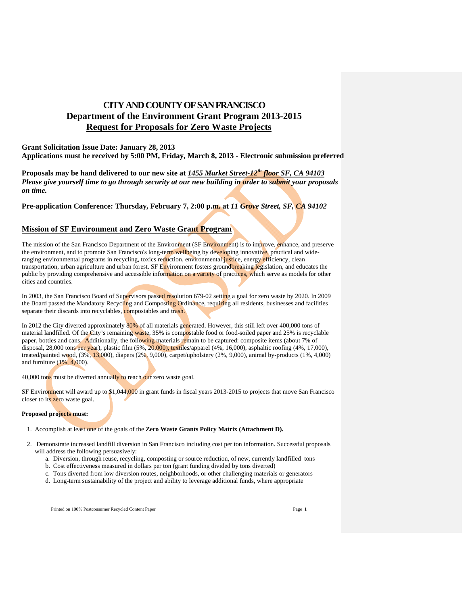# **CITY AND COUNTY OF SAN FRANCISCO Department of the Environment Grant Program 2013-2015 Request for Proposals for Zero Waste Projects**

# **Grant Solicitation Issue Date: January 28, 2013 Applications must be received by 5:00 PM, Friday, March 8, 2013 - Electronic submission preferred**

**Proposals may be hand delivered to our new site at** *1455 Market Street-12th floor SF, CA 94103 Please give yourself time to go through security at our new building in order to submit your proposals on time.* 

**Pre-application Conference: Thursday, February 7, 2:00 p.m. at** *11 Grove Street, SF, CA 94102* 

# **Mission of SF Environment and Zero Waste Grant Program**

The mission of the San Francisco Department of the Environment (SF Environment) is to improve, enhance, and preserve the environment, and to promote San Francisco's long-term wellbeing by developing innovative, practical and wideranging environmental programs in recycling, toxics reduction, environmental justice, energy efficiency, clean transportation, urban agriculture and urban forest. SF Environment fosters groundbreaking legislation, and educates the public by providing comprehensive and accessible information on a variety of practices, which serve as models for other cities and countries.

In 2003, the San Francisco Board of Supervisors passed resolution 679-02 setting a goal for zero waste by 2020. In 2009 the Board passed the Mandatory Recycling and Composting Ordinance, requiring all residents, businesses and facilities separate their discards into recyclables, compostables and trash.

In 2012 the City diverted approximately 80% of all materials generated. However, this still left over 400,000 tons of material landfilled. Of the City's remaining waste, 35% is compostable food or food-soiled paper and 25% is recyclable paper, bottles and cans. Additionally, the following materials remain to be captured: composite items (about 7% of disposal, 28,000 tons per year), plastic film (5%, 20,000), textiles/apparel (4%, 16,000), asphaltic roofing (4%, 17,000), treated/painted wood,  $(3\%, 13,000)$ , diapers  $(2\%, 9,000)$ , carpet/upholstery  $(2\%, 9,000)$ , animal by-products  $(1\%, 4,000)$ and furniture (1%, 4,000).

40,000 tons must be diverted annually to reach our zero waste goal.

SF Environment will award up to \$1,044,000 in grant funds in fiscal years 2013-2015 to projects that move San Francisco closer to its zero waste goal.

## **Proposed projects must:**

1. Accomplish at least one of the goals of the **Zero Waste Grants Policy Matrix (Attachment D).**

- 2. Demonstrate increased landfill diversion in San Francisco including cost per ton information. Successful proposals will address the following persuasively:
	- a. Diversion, through reuse, recycling, composting or source reduction, of new, currently landfilled tons
	- b. Cost effectiveness measured in dollars per ton (grant funding divided by tons diverted)
	- c. Tons diverted from low diversion routes, neighborhoods, or other challenging materials or generators
	- d. Long-term sustainability of the project and ability to leverage additional funds, where appropriate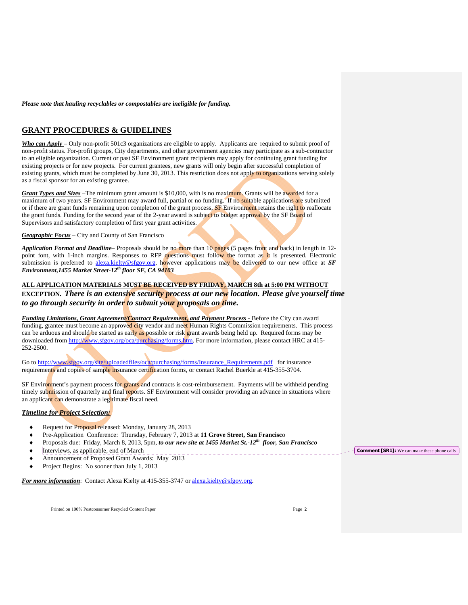*Please note that hauling recyclables or compostables are ineligible for funding.*

# **GRANT PROCEDURES & GUIDELINES**

*Who can Apply* – Only non-profit 501c3 organizations are eligible to apply. Applicants are required to submit proof of non-profit status. For-profit groups, City departments, and other government agencies may participate as a sub-contractor to an eligible organization. Current or past SF Environment grant recipients may apply for continuing grant funding for existing projects or for new projects. For current grantees, new grants will only begin after successful completion of existing grants, which must be completed by June 30, 2013. This restriction does not apply to organizations serving solely as a fiscal sponsor for an existing grantee.

*Grant Types and Sizes –*The minimum grant amount is \$10,000, with is no maximum. Grants will be awarded for a maximum of two years. SF Environment may award full, partial or no funding. If no suitable applications are submitted or if there are grant funds remaining upon completion of the grant process. SF Environment retains the right to reallocate the grant funds. Funding for the second year of the 2-year award is subject to budget approval by the SF Board of Supervisors and satisfactory completion of first year grant activities.

*Geographic Focus* – City and County of San Francisco

*Application Format and Deadline*– Proposals should be no more than 10 pages (5 pages front and back) in length in 12 point font, with 1-inch margins. Responses to RFP questions must follow the format as it is presented. Electronic submission is preferred to alexa.kielty@sfgov.org, however applications may be delivered to our new office at *SF Environment,1455 Market Street-12th floor SF, CA 94103*

# **ALL APPLICATION MATERIALS MUST BE RECEIVED BY FRIDAY, MARCH 8th at 5:00 PM WITHOUT EXCEPTION.** *There is an extensive security process at our new location. Please give yourself time to go through security in order to submit your proposals on time.*

*Funding Limitations, Grant Agreement/Contract Requirement, and Payment Process - Before the City can award* funding, grantee must become an approved city vendor and meet Human Rights Commission requirements. This process can be arduous and should be started as early as possible or risk grant awards being held up. Required forms may be downloaded from http://www.sfgov.org/oca/purchasing/forms.htm. For more information, please contact HRC at 415-252-2500.

Go to http://www.sfgov.org/site/uploadedfiles/oca/purchasing/forms/Insurance\_Requirements.pdf for insurance requirements and copies of sample insurance certification forms, or contact Rachel Buerkle at 415-355-3704.

SF Environment's payment process for grants and contracts is cost-reimbursement. Payments will be withheld pending timely submission of quarterly and final reports. SF Environment will consider providing an advance in situations where an applicant can demonstrate a legitimate fiscal need.

# *Timeline for Project Selection:*

- Request for Proposal released: Monday, January 28, 2013
- Pre-Application Conference: Thursday, February 7, 2013 at **11 Grove Street, San Francisc**o
- Proposals due: Friday, March 8, 2013, 5pm, *to our new site at 1455 Market St.-12th floor, San Francisco*
- $\blacklozenge$  Interviews, as applicable, end of March
- Announcement of Proposed Grant Awards: May 2013
- Project Begins: No sooner than July 1, 2013

*For more information*: Contact Alexa Kielty at 415-355-3747 or alexa.kielty@sfgov.org.

Printed on 100% Postconsumer Recycled Content Paper Page **2** 

**Comment [SR1]:** We can make these phone calls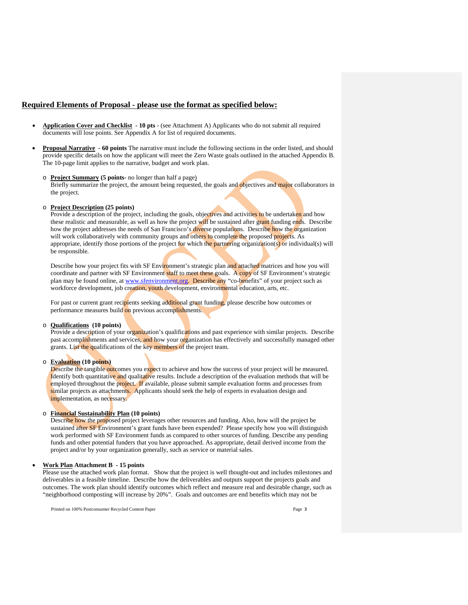## **Required Elements of Proposal - please use the format as specified below:**

- **Application Cover and Checklist 10 pts**  (see Attachment A) Applicants who do not submit all required documents will lose points. See Appendix A for list of required documents.
- **Proposal Narrative 60 points** The narrative must include the following sections in the order listed, and should provide specific details on how the applicant will meet the Zero Waste goals outlined in the attached Appendix B. The 10-page limit applies to the narrative, budget and work plan.
	- o **Project Summary (5 points-** no longer than half a page) Briefly summarize the project, the amount being requested, the goals and objectives and major collaborators in the project.
	- o **Project Description (25 points)**

Provide a description of the project, including the goals, objectives and activities to be undertaken and how these realistic and measurable, as well as how the project will be sustained after grant funding ends. Describe how the project addresses the needs of San Francisco's diverse populations. Describe how the organization will work collaboratively with community groups and others to complete the proposed projects. As appropriate, identify those portions of the project for which the partnering organization(s) or individual(s) will be responsible.

Describe how your project fits with SF Environment's strategic plan and attached matrices and how you will coordinate and partner with SF Environment staff to meet these goals. A copy of SF Environment's strategic plan may be found online, at www.sfenvironment.org. Describe any "co-benefits" of your project such as workforce development, job creation, youth development, environmental education, arts, etc.

For past or current grant recipients seeking additional grant funding, please describe how outcomes or performance measures build on previous accomplishments.

#### o **Qualifications (10 points)**

Provide a description of your organization's qualifications and past experience with similar projects. Describe past accomplishments and services, and how your organization has effectively and successfully managed other grants. List the qualifications of the key members of the project team.

# o **Evaluation (10 points)**

Describe the tangible outcomes you expect to achieve and how the success of your project will be measured. Identify both quantitative and qualitative results. Include a description of the evaluation methods that will be employed throughout the project. If available, please submit sample evaluation forms and processes from similar projects as attachments. Applicants should seek the help of experts in evaluation design and implementation, as necessary.

### o **Financial Sustainability Plan (10 points)**

Describe how the proposed project leverages other resources and funding. Also, how will the project be sustained after **SF** Environment's grant funds have been expended? Please specify how you will distinguish work performed with SF Environment funds as compared to other sources of funding. Describe any pending funds and other potential funders that you have approached. As appropriate, detail derived income from the project and/or by your organization generally, such as service or material sales.

#### **Work Plan Attachment B - 15 points**

Please use the attached work plan format. Show that the project is well thought-out and includes milestones and deliverables in a feasible timeline. Describe how the deliverables and outputs support the projects goals and outcomes. The work plan should identify outcomes which reflect and measure real and desirable change, such as "neighborhood composting will increase by 20%". Goals and outcomes are end benefits which may not be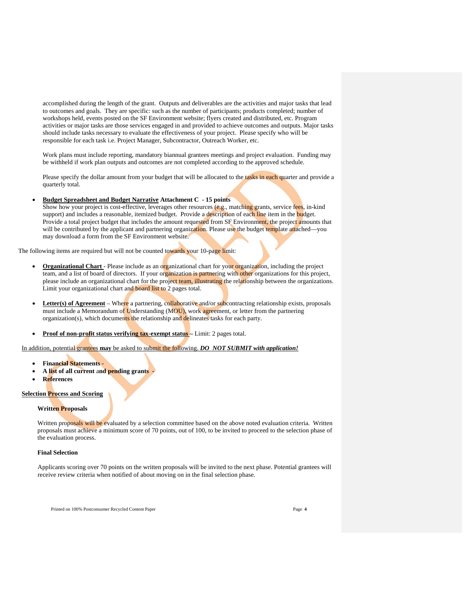accomplished during the length of the grant. Outputs and deliverables are the activities and major tasks that lead to outcomes and goals. They are specific: such as the number of participants; products completed; number of workshops held, events posted on the SF Environment website; flyers created and distributed, etc. Program activities or major tasks are those services engaged in and provided to achieve outcomes and outputs. Major tasks should include tasks necessary to evaluate the effectiveness of your project. Please specify who will be responsible for each task i.e. Project Manager, Subcontractor, Outreach Worker, etc.

 Work plans must include reporting, mandatory biannual grantees meetings and project evaluation. Funding may be withheld if work plan outputs and outcomes are not completed according to the approved schedule.

Please specify the dollar amount from your budget that will be allocated to the tasks in each quarter and provide a quarterly total.

**Budget Spreadsheet and Budget Narrative Attachment C - 15 points** 

Show how your project is cost-effective, leverages other resources (e.g., matching grants, service fees, in-kind support) and includes a reasonable, itemized budget. Provide a description of each line item in the budget. Provide a total project budget that includes the amount requested from SF Environment, the project amounts that will be contributed by the applicant and partnering organization. Please use the budget template attached—you may download a form from the SF Environment website.

The following items are required but will not be counted towards your 10-page limit:

- **Organizational Chart** Please include as an organizational chart for your organization, including the project team, and a list of board of directors. If your organization is partnering with other organizations for this project, please include an organizational chart for the project team, illustrating the relationship between the organizations. Limit your organizational chart and board list to 2 pages total.
- **Letter(s) of Agreement** Where a partnering, collaborative and/or subcontracting relationship exists, proposals must include a Memorandum of Understanding (MOU), work agreement, or letter from the partnering organization(s), which documents the relationship and delineates tasks for each party.
- Proof of non-profit status verifying tax-exempt status Limit: 2 pages total.

In addition, potential grantees **may** be asked to submit the following. *DO NOT SUBMIT with application!* 

- **Financial Statements**
- **A list of all current** a**nd pending grants**
- **References**

#### **Selection Process and Scoring**

#### **Written Proposals**

Written proposals will be evaluated by a selection committee based on the above noted evaluation criteria. Written proposals must achieve a minimum score of 70 points, out of 100, to be invited to proceed to the selection phase of the evaluation process.

### **Final Selection**

Applicants scoring over 70 points on the written proposals will be invited to the next phase. Potential grantees will receive review criteria when notified of about moving on in the final selection phase.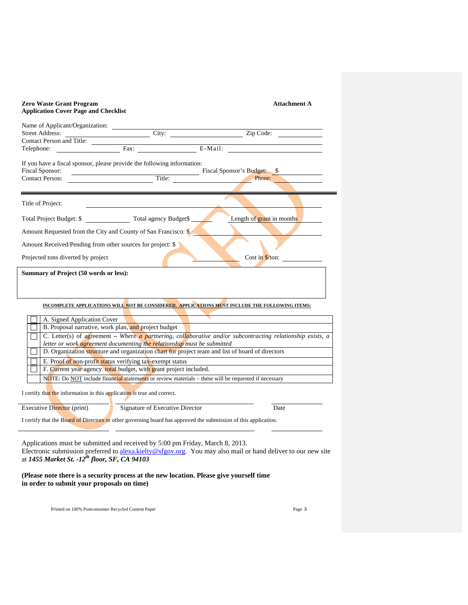| <b>Zero Waste Grant Program</b><br><b>Application Cover Page and Checklist</b>                                                                                                               |                                                                                                                                                                                                                                                     |                                                                                                                                                                                                                                                                                                                                                                                                                          | <b>Attachment A</b> |
|----------------------------------------------------------------------------------------------------------------------------------------------------------------------------------------------|-----------------------------------------------------------------------------------------------------------------------------------------------------------------------------------------------------------------------------------------------------|--------------------------------------------------------------------------------------------------------------------------------------------------------------------------------------------------------------------------------------------------------------------------------------------------------------------------------------------------------------------------------------------------------------------------|---------------------|
| Name of Applicant/Organization:<br><b>Street Address:</b><br>Contact Person and Title:                                                                                                       | City:                                                                                                                                                                                                                                               | $\overline{\qquad \qquad \text{Zip Code:} }$                                                                                                                                                                                                                                                                                                                                                                             |                     |
| Telephone:                                                                                                                                                                                   |                                                                                                                                                                                                                                                     | E-Mail:                                                                                                                                                                                                                                                                                                                                                                                                                  |                     |
| If you have a fiscal sponsor, please provide the following information:<br>Fiscal Sponsor:                                                                                                   |                                                                                                                                                                                                                                                     |                                                                                                                                                                                                                                                                                                                                                                                                                          |                     |
| <b>Contact Person:</b>                                                                                                                                                                       |                                                                                                                                                                                                                                                     |                                                                                                                                                                                                                                                                                                                                                                                                                          |                     |
| Title of Project:                                                                                                                                                                            |                                                                                                                                                                                                                                                     |                                                                                                                                                                                                                                                                                                                                                                                                                          |                     |
| Total Project Budget: \$ Total agency Budget\$                                                                                                                                               |                                                                                                                                                                                                                                                     | Length of grant in months                                                                                                                                                                                                                                                                                                                                                                                                |                     |
| Amount Requested from the City and County of San Francisco: \$                                                                                                                               |                                                                                                                                                                                                                                                     |                                                                                                                                                                                                                                                                                                                                                                                                                          |                     |
| Amount Received/Pending from other sources for project: \$                                                                                                                                   |                                                                                                                                                                                                                                                     |                                                                                                                                                                                                                                                                                                                                                                                                                          |                     |
| Projected tons diverted by project                                                                                                                                                           |                                                                                                                                                                                                                                                     |                                                                                                                                                                                                                                                                                                                                                                                                                          | $Cost in $/ton:$    |
| Summary of Project (50 words or less):                                                                                                                                                       |                                                                                                                                                                                                                                                     |                                                                                                                                                                                                                                                                                                                                                                                                                          |                     |
| A. Signed Application Cover<br>B. Proposal narrative, work plan, and project budget<br>I certify that the information in this application is true and correct.<br>Executive Director (print) | letter or work <i>agreement documenting the relationship</i> must be submitted<br>E. Proof of non-profit status verifying tax-exempt status<br>F. Current year agency total budget, with grant project included.<br>Signature of Executive Director | INCOMPLETE APPLICATIONS WILL NOT BE CONSIDERED. APPLICATIONS MUST INCLUDE THE FOLLOWING ITEMS:<br>C. Letter(s) of agreement – Where a partnering, collaborative and/or subcontracting relationship exists, a<br>D. Organization structure and organization chart for project team and list of board of directors<br>NOTE: Do NOT include financial statements or review materials – these will be requested if necessary | Date                |
| I certify that the Board of Directors or other governing board has approved the submission of this application.                                                                              |                                                                                                                                                                                                                                                     |                                                                                                                                                                                                                                                                                                                                                                                                                          |                     |
|                                                                                                                                                                                              |                                                                                                                                                                                                                                                     |                                                                                                                                                                                                                                                                                                                                                                                                                          |                     |

Applications must be submitted and received by 5:00 pm Friday, March 8, 2013. Electronic submission preferred to alexa.kielty@sfgov.org. You may also mail or hand deliver to our new site at *1455 Market St. -12th floor, SF, CA 94103* 

**(Please note there is a security process at the new location. Please give yourself time in order to submit your proposals on time)**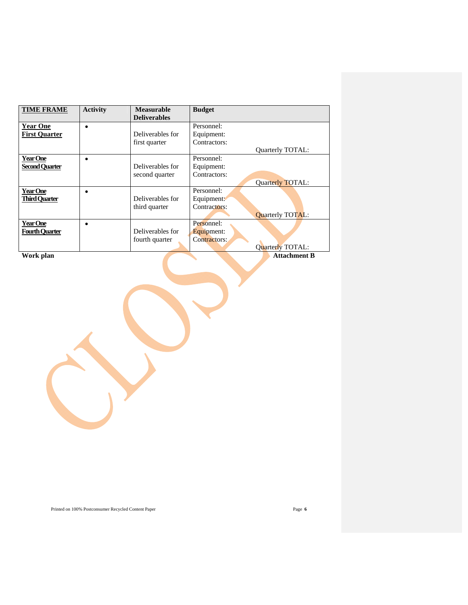| <b>TIME FRAME</b>     | <b>Activity</b> | <b>Measurable</b>   | <b>Budget</b> |                         |
|-----------------------|-----------------|---------------------|---------------|-------------------------|
|                       |                 | <b>Deliverables</b> |               |                         |
| <b>Year One</b>       | ٠               |                     | Personnel:    |                         |
| <b>First Quarter</b>  |                 | Deliverables for    | Equipment:    |                         |
|                       |                 | first quarter       | Contractors:  |                         |
|                       |                 |                     |               | Quarterly TOTAL:        |
| Year One              |                 |                     | Personnel:    |                         |
| <b>Second Quarter</b> |                 | Deliverables for    | Equipment:    |                         |
|                       |                 | second quarter      | Contractors:  |                         |
|                       |                 |                     |               | Quarterly TOTAL:        |
| <b>Year One</b>       |                 |                     | Personnel:    |                         |
| <b>Third Ouarter</b>  |                 | Deliverables for    | Equipment:    |                         |
|                       |                 | third quarter       | Contractors:  |                         |
|                       |                 |                     |               | <b>Ouarterly TOTAL:</b> |
| Year One              | ٠               |                     | Personnel:    |                         |
| <b>Fourth Ouarter</b> |                 | Deliverables for    | Equipment:    |                         |
|                       |                 | fourth quarter      | Contractors:  |                         |
|                       |                 |                     |               | <b>Ouarterly TOTAL:</b> |
| Work plan             |                 |                     |               | <b>Attachment B</b>     |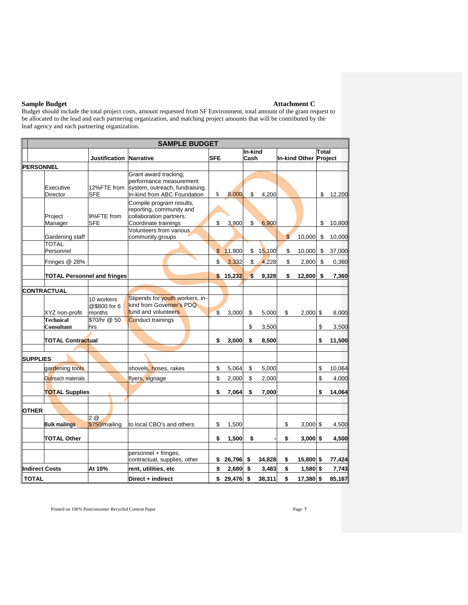#### **Sample Budget Attachment C**  $\blacksquare$

Budget should include the total project costs, amount requested from SF Environment, total amount of the grant request to be allocated to the lead and each partnering organization, and matching project amounts that will be contributed by the lead agency and each partnering organization.

| <b>SAMPLE BUDGET</b>            |                                    |                                      |                                                                                                                                    |                         |          |                 |        |                       |            |       |        |
|---------------------------------|------------------------------------|--------------------------------------|------------------------------------------------------------------------------------------------------------------------------------|-------------------------|----------|-----------------|--------|-----------------------|------------|-------|--------|
|                                 |                                    | <b>Justification Narrative</b>       |                                                                                                                                    | <b>SFE</b>              |          | In-kind<br>Cash |        | In-kind Other Project |            | Total |        |
|                                 |                                    |                                      |                                                                                                                                    |                         |          |                 |        |                       |            |       |        |
| <b>PERSONNEL</b>                | Executive<br>Director              | 12%FTE from<br><b>SFE</b>            | Grant award tracking,<br>performance measurement<br>system, outreach, fundraising.<br>In-kind from ABC Foundation                  | \$                      | 8,000    | \$              | 4,200  |                       |            | \$    | 12,200 |
|                                 | Project<br>Manager                 | 9%FTE from<br><b>SFE</b>             | Compile program results,<br>reporting, community and<br>collaboration partners.<br>Coordinate trainings<br>Volunteers from various | \$                      | 3,900    | \$              | 6,900  |                       |            | \$    | 10,800 |
|                                 | Gardening staff                    |                                      | community groups                                                                                                                   |                         |          |                 |        | $\mathbb{S}$          | 10,000     | \$    | 10,000 |
|                                 | <b>TOTAL</b><br>Personnel          |                                      |                                                                                                                                    | $\mathfrak{S}$          | 11,900   | \$              | 15,100 | \$                    | 10,000     | \$    | 37,000 |
|                                 | Fringes @ 28%                      |                                      |                                                                                                                                    | \$                      | 3,332    | \$              | 4,228  | \$                    | 2,800      | \$    | 0,360  |
|                                 | <b>TOTAL Personnel and fringes</b> |                                      |                                                                                                                                    |                         | \$15,232 | \$              | 9,328  | \$                    | 12,800     | \$    | 7,360  |
|                                 | CONTRACTUAL                        |                                      |                                                                                                                                    |                         |          |                 |        |                       |            |       |        |
|                                 | XYZ non-profit                     | 10 workers<br>@\$800 for 6<br>months | Stipends for youth workers, in-<br>kind from Governer's PDQ<br>fund and volunteers                                                 | $\overline{\mathbb{S}}$ | 3,000    | \$              | 5,000  | \$                    | $2,000$ \$ |       | 8,000  |
|                                 | <b>Technical</b>                   | \$70/hr @ 50                         | <b>Conduct trainings</b>                                                                                                           |                         |          |                 |        |                       |            |       |        |
|                                 | <b>Consultant</b>                  | hrs                                  |                                                                                                                                    |                         |          | \$              | 3,500  |                       |            | \$    | 3,500  |
|                                 | <b>TOTAL Contractual</b>           |                                      |                                                                                                                                    | \$                      | 3,000    | \$              | 8,500  |                       |            | \$    | 11,500 |
|                                 |                                    |                                      |                                                                                                                                    |                         |          |                 |        |                       |            |       |        |
| <b>SUPPLIES</b>                 |                                    |                                      |                                                                                                                                    |                         |          |                 |        |                       |            |       |        |
|                                 | gardening tools                    |                                      | shovels, hoses, rakes                                                                                                              | \$                      | 5,064    | \$              | 5,000  |                       |            | \$    | 10,064 |
|                                 | Outreach materials                 |                                      | flyers, signage                                                                                                                    |                         | 2,000    | \$              | 2,000  |                       |            | \$    | 4,000  |
|                                 | <b>TOTAL Supplies</b>              |                                      |                                                                                                                                    | \$                      | 7.064    | \$              | 7.000  |                       |            | \$    | 14.064 |
| <b>OTHER</b>                    |                                    |                                      |                                                                                                                                    |                         |          |                 |        |                       |            |       |        |
|                                 | <b>Bulk mailings</b>               | 2@<br>\$750/mailing                  | to local CBO's and others                                                                                                          | \$                      | 1,500    |                 |        | \$                    | $3,000$ \$ |       | 4,500  |
|                                 | <b>TOTAL Other</b>                 |                                      |                                                                                                                                    | \$                      | 1,500    | \$              |        | \$                    | $3,000$ \$ |       | 4,500  |
|                                 |                                    |                                      | personnel + fringes,<br>contractual, supplies, other                                                                               | \$                      | 26,796   | \$              | 34,828 | \$                    | 15,800 \$  |       | 77,424 |
| <b>Indirect Costs</b><br>At 10% |                                    | rent, utilities, etc                 | \$                                                                                                                                 | 2,680                   | \$       | 3,483           | \$     | $1,580$ \$            |            | 7,743 |        |
| <b>TOTAL</b>                    |                                    |                                      | Direct + indirect                                                                                                                  | \$                      | 29,476   | $\mathbf{s}$    | 38.311 | \$                    | 17,380 \$  |       | 85,167 |